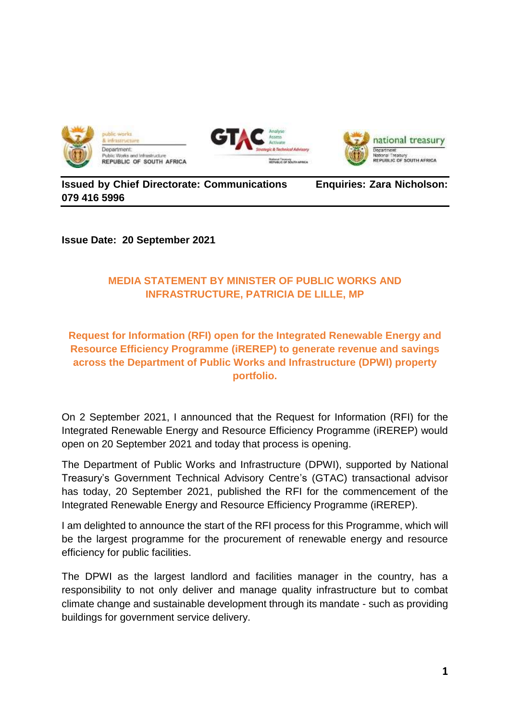





## **Issued by Chief Directorate: Communications Enquiries: Zara Nicholson: 079 416 5996**

**Issue Date: 20 September 2021**

## **MEDIA STATEMENT BY MINISTER OF PUBLIC WORKS AND INFRASTRUCTURE, PATRICIA DE LILLE, MP**

## **Request for Information (RFI) open for the Integrated Renewable Energy and Resource Efficiency Programme (iREREP) to generate revenue and savings across the Department of Public Works and Infrastructure (DPWI) property portfolio.**

On 2 September 2021, I announced that the Request for Information (RFI) for the Integrated Renewable Energy and Resource Efficiency Programme (iREREP) would open on 20 September 2021 and today that process is opening.

The Department of Public Works and Infrastructure (DPWI), supported by National Treasury's Government Technical Advisory Centre's (GTAC) transactional advisor has today, 20 September 2021, published the RFI for the commencement of the Integrated Renewable Energy and Resource Efficiency Programme (iREREP).

I am delighted to announce the start of the RFI process for this Programme, which will be the largest programme for the procurement of renewable energy and resource efficiency for public facilities.

The DPWI as the largest landlord and facilities manager in the country, has a responsibility to not only deliver and manage quality infrastructure but to combat climate change and sustainable development through its mandate - such as providing buildings for government service delivery.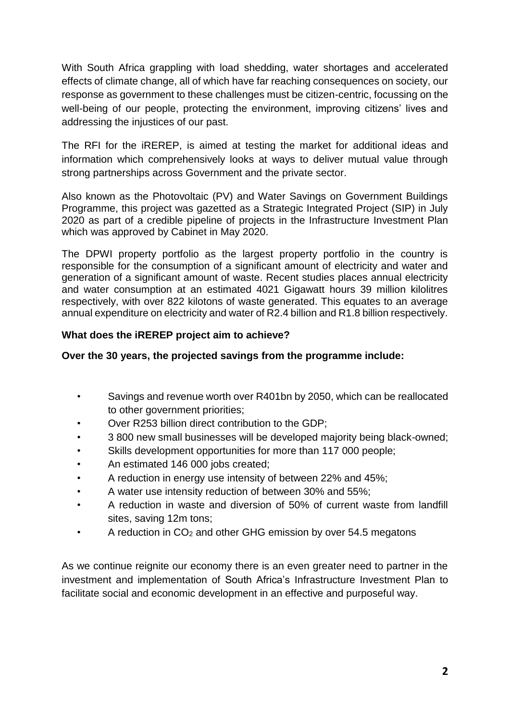With South Africa grappling with load shedding, water shortages and accelerated effects of climate change, all of which have far reaching consequences on society, our response as government to these challenges must be citizen-centric, focussing on the well-being of our people, protecting the environment, improving citizens' lives and addressing the injustices of our past.

The RFI for the iREREP, is aimed at testing the market for additional ideas and information which comprehensively looks at ways to deliver mutual value through strong partnerships across Government and the private sector.

Also known as the Photovoltaic (PV) and Water Savings on Government Buildings Programme, this project was gazetted as a Strategic Integrated Project (SIP) in July 2020 as part of a credible pipeline of projects in the Infrastructure Investment Plan which was approved by Cabinet in May 2020.

The DPWI property portfolio as the largest property portfolio in the country is responsible for the consumption of a significant amount of electricity and water and generation of a significant amount of waste. Recent studies places annual electricity and water consumption at an estimated 4021 Gigawatt hours 39 million kilolitres respectively, with over 822 kilotons of waste generated. This equates to an average annual expenditure on electricity and water of R2.4 billion and R1.8 billion respectively.

#### **What does the iREREP project aim to achieve?**

#### **Over the 30 years, the projected savings from the programme include:**

- Savings and revenue worth over R401bn by 2050, which can be reallocated to other government priorities;
- Over R253 billion direct contribution to the GDP;
- 3 800 new small businesses will be developed majority being black-owned;
- Skills development opportunities for more than 117 000 people;
- An estimated 146 000 jobs created;
- A reduction in energy use intensity of between 22% and 45%;
- A water use intensity reduction of between 30% and 55%;
- A reduction in waste and diversion of 50% of current waste from landfill sites, saving 12m tons;
- A reduction in  $CO<sub>2</sub>$  and other GHG emission by over 54.5 megatons

As we continue reignite our economy there is an even greater need to partner in the investment and implementation of South Africa's Infrastructure Investment Plan to facilitate social and economic development in an effective and purposeful way.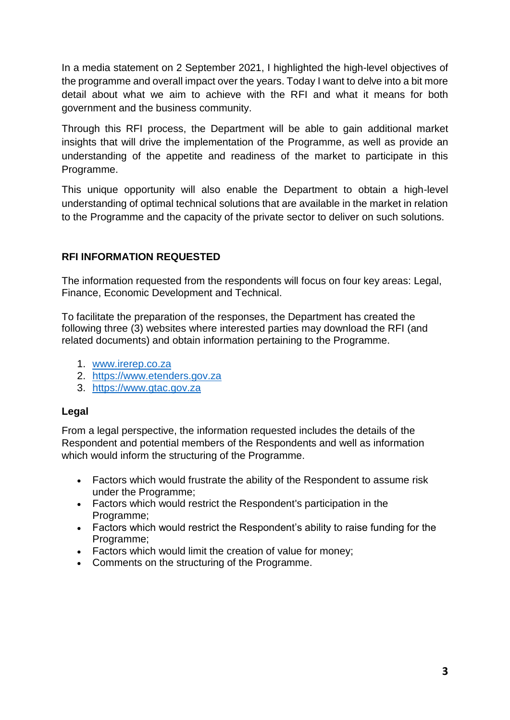In a media statement on 2 September 2021, I highlighted the high-level objectives of the programme and overall impact over the years. Today I want to delve into a bit more detail about what we aim to achieve with the RFI and what it means for both government and the business community.

Through this RFI process, the Department will be able to gain additional market insights that will drive the implementation of the Programme, as well as provide an understanding of the appetite and readiness of the market to participate in this Programme.

This unique opportunity will also enable the Department to obtain a high-level understanding of optimal technical solutions that are available in the market in relation to the Programme and the capacity of the private sector to deliver on such solutions.

# **RFI INFORMATION REQUESTED**

The information requested from the respondents will focus on four key areas: Legal, Finance, Economic Development and Technical.

To facilitate the preparation of the responses, the Department has created the following three (3) websites where interested parties may download the RFI (and related documents) and obtain information pertaining to the Programme.

- 1. [www.irerep.co.za](http://www.irerep.co.za/)
- 2. [https://www.etenders.gov.za](https://www.etenders.gov.za/)
- 3. [https://www.gtac.gov.za](https://www.gtac.gov.za/)

## **Legal**

From a legal perspective, the information requested includes the details of the Respondent and potential members of the Respondents and well as information which would inform the structuring of the Programme.

- Factors which would frustrate the ability of the Respondent to assume risk under the Programme;
- Factors which would restrict the Respondent's participation in the Programme;
- Factors which would restrict the Respondent's ability to raise funding for the Programme;
- Factors which would limit the creation of value for money;
- Comments on the structuring of the Programme.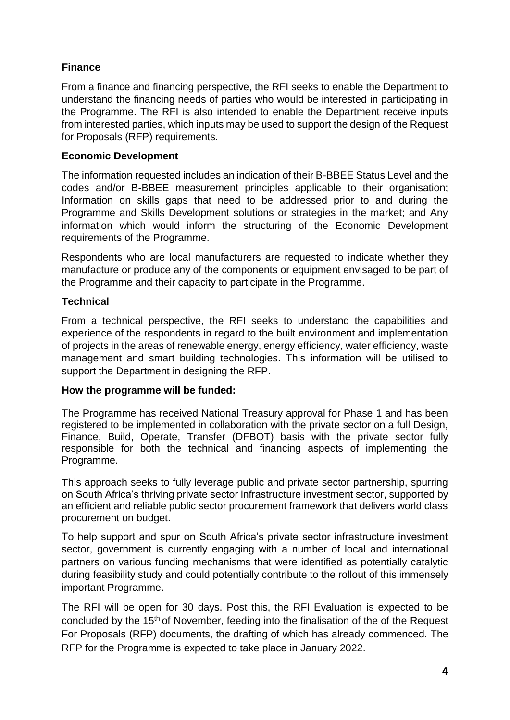## **Finance**

From a finance and financing perspective, the RFI seeks to enable the Department to understand the financing needs of parties who would be interested in participating in the Programme. The RFI is also intended to enable the Department receive inputs from interested parties, which inputs may be used to support the design of the Request for Proposals (RFP) requirements.

## **Economic Development**

The information requested includes an indication of their B-BBEE Status Level and the codes and/or B-BBEE measurement principles applicable to their organisation; Information on skills gaps that need to be addressed prior to and during the Programme and Skills Development solutions or strategies in the market; and Any information which would inform the structuring of the Economic Development requirements of the Programme.

Respondents who are local manufacturers are requested to indicate whether they manufacture or produce any of the components or equipment envisaged to be part of the Programme and their capacity to participate in the Programme.

#### **Technical**

From a technical perspective, the RFI seeks to understand the capabilities and experience of the respondents in regard to the built environment and implementation of projects in the areas of renewable energy, energy efficiency, water efficiency, waste management and smart building technologies. This information will be utilised to support the Department in designing the RFP.

#### **How the programme will be funded:**

The Programme has received National Treasury approval for Phase 1 and has been registered to be implemented in collaboration with the private sector on a full Design, Finance, Build, Operate, Transfer (DFBOT) basis with the private sector fully responsible for both the technical and financing aspects of implementing the Programme.

This approach seeks to fully leverage public and private sector partnership, spurring on South Africa's thriving private sector infrastructure investment sector, supported by an efficient and reliable public sector procurement framework that delivers world class procurement on budget.

To help support and spur on South Africa's private sector infrastructure investment sector, government is currently engaging with a number of local and international partners on various funding mechanisms that were identified as potentially catalytic during feasibility study and could potentially contribute to the rollout of this immensely important Programme.

The RFI will be open for 30 days. Post this, the RFI Evaluation is expected to be concluded by the 15<sup>th</sup> of November, feeding into the finalisation of the of the Request For Proposals (RFP) documents, the drafting of which has already commenced. The RFP for the Programme is expected to take place in January 2022.